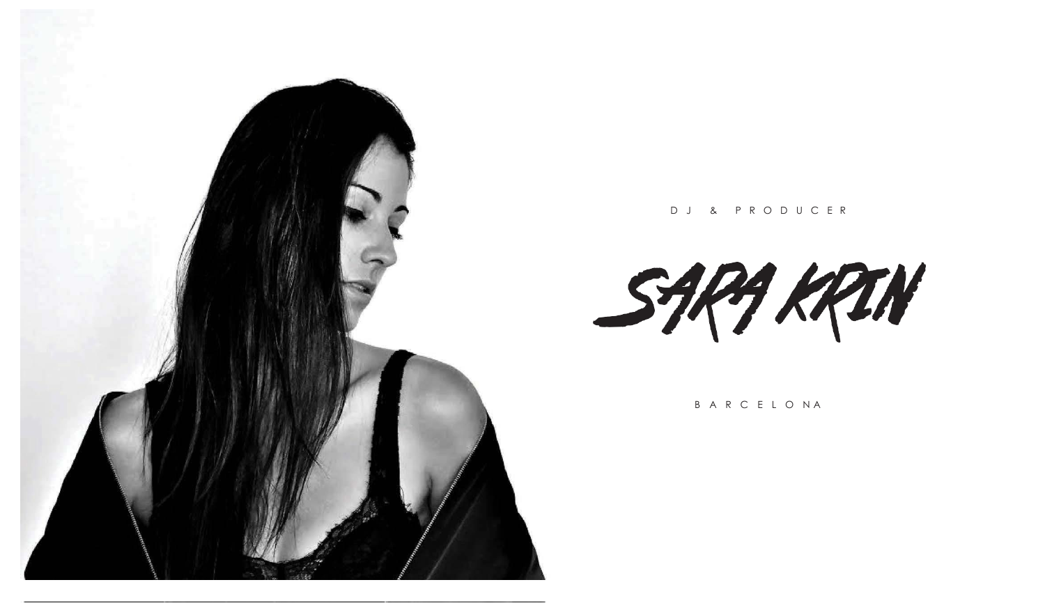

D J & P R O D U C E R

SARA KRIN

B A R C E L O N A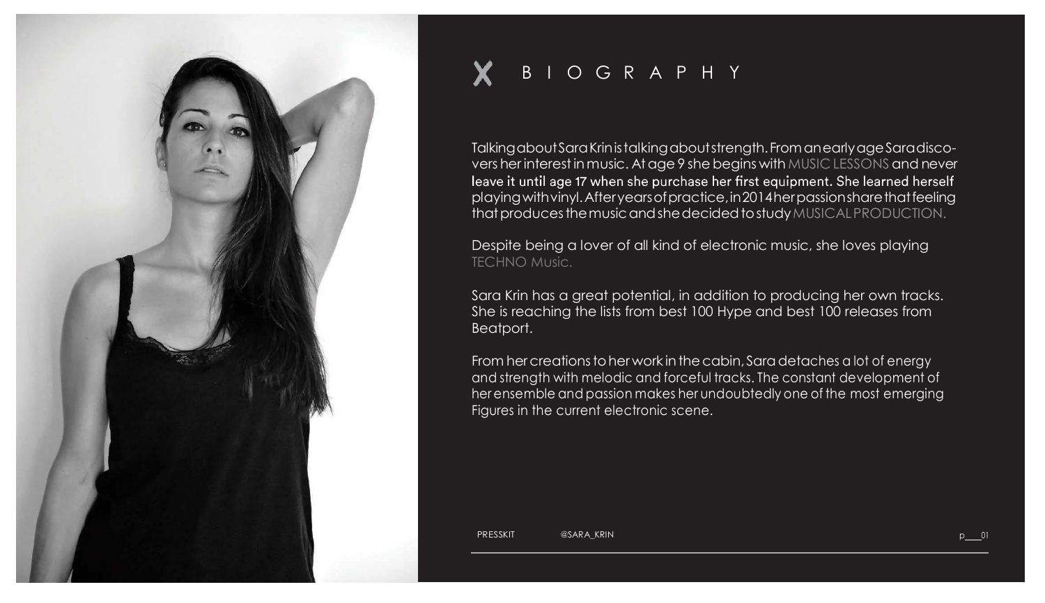

## B I O G R A P H Y

TalkingaboutSaraKrinistalkingaboutstrength.FromanearlyageSaradiscovers her interest in music. At age 9 she begins with MUSIC LESSONS and never<br>leave it until age 17 when she purchase her first equipment. She learned herself playingwithvinyl.Afteryearsofpractice,in2014herpassionsharethatfeeling thatproducesthemusicandshedecidedtostudyMUSICALPRODUCTION.

Despite being a lover of all kind of electronic music, she loves playing TECHNO Music.

Sara Krin has a great potential, in addition to producing her own tracks. She is reaching the lists from best 100 Hype and best 100 releases from Beatport.

From her creations to her work in the cabin, Sara detaches a lot of energy and strength with melodic and forceful tracks. The constant development of her ensemble and passion makes her undoubtedly one of the most emerging Figures in the current electronic scene.